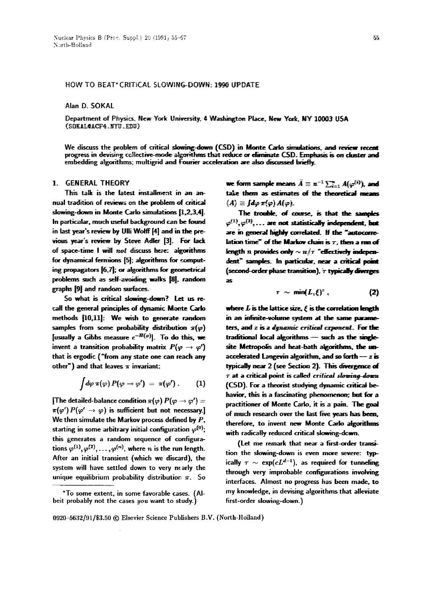## HOW TO BEAT\* CRITICAL SLOWING-DOWN: 1990 UPDATE

Alan D. SOKAL

Department of Physics, New York University, 4 Washington Place, New York, NY 10003 USA (SOKAL@ACF4.NYU.EDU)

We discuss the problem of critical slowing-down (CSD) in Monte Carlo simulations, and review recent progress in devising collective-mode algorithms that reduce or diminate CSD. Emphasis is on cluster and embedding algorithms; multigrid and Fourier acceleration are also discussed briefly.

# 1. GEHERAL THEORY

This talk is the latest installment in an annual tradition of reviews on the problem of critical slowing-down in Monte Carlo simulations [1,2,3,4]. In particular, much useful background can he found in last year's review by Ulli Wolff [4] and in the previous year's review by Steve Adler [3]. For lack of space-time I will not discuss here: algorithms for dynamical fermions [5]; algorithms for computing propagators [6,7l; or algorithms for geometrical problems such as self-avoiding walks [8], random graphs [9] and random surfaces.

So what is critical slowing-down7 Let us recall the general principles of dynamic Monte Carlo methods [10,11]: We wish to generate random samples from some probability distribution  $\pi(\varphi)$ [usually a Gibbs measure  $e^{-H(\varphi)}$ ]. To do this, we invent a transition probability matrix  $P(\varphi \rightarrow \varphi')$ that is ergodic ("from any state one can reach any other") and that leaves  $\pi$  invariant:

$$
\int d\varphi \,\pi(\varphi) \, P(\varphi \to \varphi') = \pi(\varphi') \, . \qquad (1)
$$

[The detailed-balance condition  $\pi(\varphi) P(\varphi \to \varphi') =$  $\pi(\varphi') P(\varphi' \to \varphi)$  is sufficient but not necessary. We then simulate the Markov process defined by  $P$ , starting in some arbitrary initial configuration  $\varphi^{(0)}$ ; this generates a random sequence of configurations  $\varphi^{(1)}, \varphi^{(2)}, \ldots, \varphi^{(n)}$ , where n is the run length. After an initial transient (which we discard), the system will have settled down to very nearly the unique equilibrium probability distribution  $\pi$ . So we form sample means  $\bar{A} \equiv n^{-1} \sum_{i=1}^{n} A(\varphi^{(i)})$ , and take them as estimates of the theoretical means  $\langle A \rangle \equiv [d\sigma \pi(\phi) A(\phi)].$ 

The trouble, of course, is that the samples  $\varphi^{(1)}, \varphi^{(2)}, \ldots$  are not statistically independent, but are in general highly correlated. If the "autocorrelation time" of the Markov chain is  $\tau$ , then a nm of length n provides only  $\sim n/\tau$  "effectively independent" samples. In particular, near a critical point (second-order phase transition), 7 typically diverges **as** 

$$
\tau \sim \min(L,\xi)^z \, . \tag{2}
$$

where  $L$  is the lattice size,  $\ell$  is the correlation length in an infinite-volume system at the same parame*ters, and z is a dynamic critical exponent. For the* traditional local algorithms - such as the singlesite Metropolis and heat-bath algorithms, the unaccelerated Langevin algorithm, and so forth  $-z$  is **typically near 2** (see Section 2). This divergence of  $\tau$  at a critical point is called *critical slowing-down* (CSD). For a theorist studying dynamic critical behawior, this is a fascinating phenomenon; but for a practitioner of Monte Carlo, it is a pain. The goal of much research over the last five years has been, therefore, to invent new Monte Carlo algorithms with radically reduced critical slowing-dewn.

(Let me remark that near a first-order transition the slowing-down is even more severe: typically  $\tau \sim \exp(cL^{d-1})$ , as required for tunneling through very improbable configurations involving interfaces. Almost no progress has been made. to my knowledge, in devising algorithms that alleviate first-order slowing-down.)

0920-5632/91/\$3.50 © Elsevier Science Publishers B.V. (North-Holand)

<sup>\*</sup>To some extent, in some favorable cases. (Albeit probably not the cases *you* want to study.)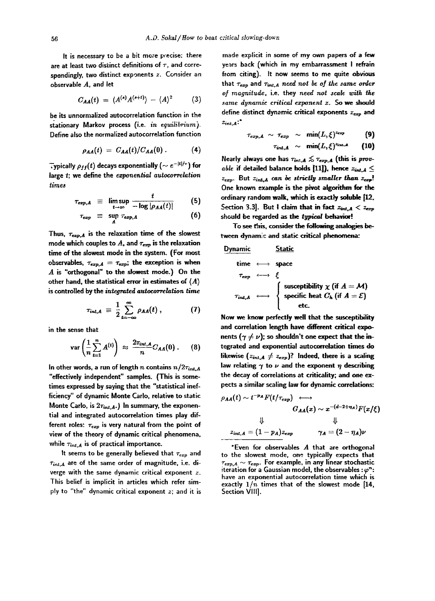It is necessary to be a bit more precise: there are at least two distinct definitions of  $\tau$ , and correspondingly, two distinct exponents  $z$ . Consider an observable A, and let

$$
C_{AA}(t) = \langle A^{(s)} A^{(s+t)} \rangle - \langle A \rangle^2 \qquad (3)
$$

be its unnormalized autocorrelation function in the stationary Markov process (i.e. *in equilibrium).*  Define also the normalized autocorrelation function

$$
\rho_{AA}(t) = C_{AA}(t)/C_{AA}(0). \qquad (4)
$$

Typically  $\rho_{ff}(t)$  decays exponentially ( $\sim e^{-|t|/\tau}$ ) for large  $t$ ; we define the *exponential autocorrelation Limes* 

$$
\tau_{exp,A} \equiv \limsup_{t \to \infty} \frac{t}{-\log |\rho_{AA}(t)|} \qquad (5)
$$

$$
\tau_{exp} \equiv \sup_{A} \tau_{exp,A} \tag{6}
$$

Thus,  $\tau_{\rm exp,A}$  is the relaxation time of the slowest mode which couples to  $A$ , and  $\tau_{exp}$  is the relaxation time of the slowest mode in the system. (For most observables,  $\tau_{exp,A} = \tau_{exp}$ ; the exception is when A is "orthogonal" to the slowest mode.) On the other hand, the statistical error in estimates of  $\langle A \rangle$ is controlled by the *integrated autocorrelation time* 

$$
\tau_{\text{int},A} \equiv \frac{1}{2} \sum_{t=-\infty}^{\infty} \rho_{AA}(t) , \qquad (7)
$$

in the sense that

$$
\text{var}\left(\frac{1}{n}\sum_{t=1}^n A^{(t)}\right) \approx \frac{2\tau_{int,A}}{n}C_{AA}(0). \qquad (8)
$$

In other words, a run of length *n* contains  $n/2\tau_{int, A}$ "effectively independent" samples. (This is sometimes expressed by saying that the "statistical inefficiency" of dynamic Monte Carlo, relative to static Monte Carlo, is  $2\tau_{int,A}$ .) In summary, the exponential and integrated autocorrelation times play different roles:  $\tau_{exp}$  is very natural from the point of view of the theory of dynamic critical phenomena, while  $\tau_{int,A}$  is of practical importance.

It seems to be generally believed that  $\tau_{exp}$  and  $\tau_{int,A}$  are of the same order of magnitude, i.e. diverge with the same dynamic critical exponent z. This belief is implicit in articles which refer simply to "the" dynamic critical exponent z; and it is made explicit in some of my own papers of a few years back (which in my embarrassment I refrain from citing). It now seems to me quite obvious that  $\tau_{exp}$  and  $\tau_{int, A}$  need not be of the same order *of magnitude,* i.e. they *need not scale with same dynamic critical ezponent z. So we should*  define distinct dynamic critical exponents  $z_{exp}$  and  $z_{int.4}$ :

$$
\tau_{exp,A} \sim \tau_{exp} \sim \min(L,\xi)^{z_{exp}} \qquad (9)
$$

$$
\tau_{int,A} \sim \min(L,\xi)^{z_{int,A}} \qquad (10)
$$

Nearly always one has  $\tau_{int,A}\lesssim \tau_{exp,A}$  (this is prov*able if detailed balance holds [11]), hence*  $z_{int, A} \leq$  $z_{exp}$ . But  $z_{int,A}$  can be strictly smaller than  $z_{exp}$ . One known example is the pivot algorithm for the ordinary random walk, which is exactly soluble [12, Section 3.3]. But I claim that in fact  $z_{int, A} < z_{exp}$ should be regarded as the typical behavior!

To see fhis, consider the following analogies between dynamic and static critical phenomena:

# Dynamic Static

\n
$$
\lim_{\tau_{exp}} \longleftrightarrow \text{ space}
$$
\n

\n\n $\lim_{\tau_{int, A}} \longleftrightarrow \text{ [susceptibility } \chi \text{ (if } A = M)$ \n

\n\n $\lim_{\tau_{int, A}} \longleftrightarrow \text{ specific heat } C_h \text{ (if } A = E)$ \n

\n\n etc.\n

Now we know perfectly well that the susceptibility and correlation length have different critical exponents ( $\gamma \neq \nu$ ); so shouldn't one expect that the integrated and exponential autocorrelation times do likewise  $(z_{int,A} \neq z_{exp})$ ? Indeed, there is a scaling law relating  $\gamma$  to  $\nu$  and the exponent  $\eta$  describing the decay of correlations at criticality; and one expects a similar scaling law for dynamic correlations:

$$
\rho_{AA}(t) \sim t^{-p_A} F(t/\tau_{exp}) \longleftrightarrow
$$
  
\n
$$
G_{AA}(x) \sim x^{-(d-2+\eta_A)} F(x/\xi)
$$
  
\n
$$
\downarrow \qquad \qquad \downarrow
$$
  
\n
$$
z_{int,A} = (1-p_A)z_{exp} \qquad \qquad \gamma_A = (2-\eta_A)\nu
$$

\*Even for observables  $A$  that are orthogonal to the slowest mode, one typically expects that  $\tau_{exp,A}\sim\tau_{exp}.$  For example, in any linear stochastic iteration for a Gaussian model, the observables :  $\varphi^n$  : have an exponential autocorrelation time which is exactly  $1/n$  times that of the slowest mode  $[14, 1]$ Section VIII].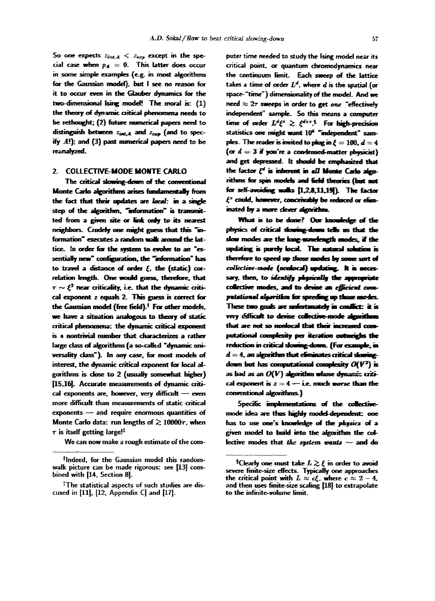So one expects  $z_{\text{int},A} < z_{\text{ext}}$  except in the special case when  $p_A = 0$ . This latter does occur in some simple examples (e.g. in most algorithms for the Gaussian model), but I see no reason for it to occur even in the Glauber dynamics for the two-dimensional Ising model! The moral is: (1) the theory of dynamic critical phenomena needs to be rethought; (2) future numerical papers need to distinguish between  $z_{int,A}$  and  $z_{exp}$  (and to specify  $A!$ ); and (3) past numerical papers need to be reanalyzed.

### 2. COLLECTIVE-MODE MONTE CARLO

The critical slowing-down of the conventional Monte Carlo algorithms arises fundamentally from the fact that their updates are local: in a single step of the algorithm, "information" is transmitted from a given site or link only to its nearest neighbors. Crudely one might guess that this "information" executes a random walk around the lattice. In order for the system to evolve to an "essentially new" configuration, the "information" has to travel a distance of order  $\xi$ , the (static) correlation length. One would guess, therefore, that  $\tau \sim \xi^2$  near criticality, i.e. that the dynamic critical exponent z equals 2. This guess is correct for the Gaussian model (free field).<sup>†</sup> For other models, we have a situation analogous to theory of static critical phenomena: the dynamic critical exponent is a nontrivial number that characterizes a rather large class of algorithms (a so-called "dynamic universality class"). In any case, for most models of interest, the dynamic critical exponent for local algorithms is close to 2 (usually somewhat higher) [15,16]. Accurate measurements of dynamic critical exponents are, however, very difficult - even more difficult than measurements of static critical exponents - and require enormous quantities of Monte Carlo data: run lengths of  $\gtrsim 10000\tau$ , when  $\tau$  is itself getting large!<sup>‡</sup>

We can now make a rough estimate of the com-

puter time needed to study the Ising model near its critical point, or quantum chromodynamics near the continuum limit. Each sweep of the lattice takes a time of order  $L^d$ , where  $d$  is the spatial (or space-"time") dimensionality of the model. And we need  $\approx 2\tau$  sweeps in order to get one "effectively independent" sample. So this means a computer time of order  $L^d \xi^x \gtrsim \xi^{d+x}$ .<sup>5</sup> For high-precision statistics one might want 10<sup>6</sup> "independent" samples. The reader is invited to plug in  $\ell = 100$ ,  $d = 4$ (or  $d = 3$  if you're a condensed-matter physicist) and get depressed. It should be emphasized that the factor  $\xi^d$  is inherent in all Monte Carlo algorithms for spin models and field theories (but not for self-avoiding walks [1.2.8.11.19]). The factor  $\xi^z$  could, however, conceivably be reduced or eliminated by a more clever algorithm.

What is to be done? Our knowledge of the physics of critical slowing-down tells us that the slow modes are the long-wavelength modes, if the updating is purely local. The natural solution is therefore to speed up those modes by some sort of collective-mode (nonlocal) updating. It is necessary, then, to *identify physically* the appropriate collective modes, and to devise an efficient computational algorithm for speeding up those modes. These two goals are unfortunately in conflict: it is very difficult to devise collective-mode algorithms that are not so nonlocal that their increased computational complexity per iteration outweighs the reduction in critical slowing-down. (For example, in  $d = 4$ , an algorithm that eliminates critical slowingdown but has computational complexity  $O(V^2)$  is as bad as an  $O(V)$  algorithm whose dynamic critical exponent is  $z = 4$  - i.e. much worse than the conventional algorithms.)

Specific implementations of the collectivemode idea are thus highly model-dependent: one has to use one's knowledge of the physics of a given model to build into the algorithm the collective modes that the system wants  $-$  and do

<sup>&</sup>lt;sup>†</sup>Indeed, for the Gaussian model this randomwalk picture can be made rigorous: see [13] combined with [14, Section 8].

<sup>&</sup>lt;sup>#</sup>The statistical aspects of such studies are discused in  $[11]$ ,  $[12]$ , Appendix  $C$  and  $[17]$ .

<sup>&</sup>lt;sup>§</sup>Clearly one must take  $L \gtrsim \xi$  in order to avoid severe finite-size effects. Typically one approaches the critical point with  $L \approx c \xi$ , where  $c \approx 2-4$ , and then uses finite-size scaling [18] to extrapolate to the infinite-volume limit.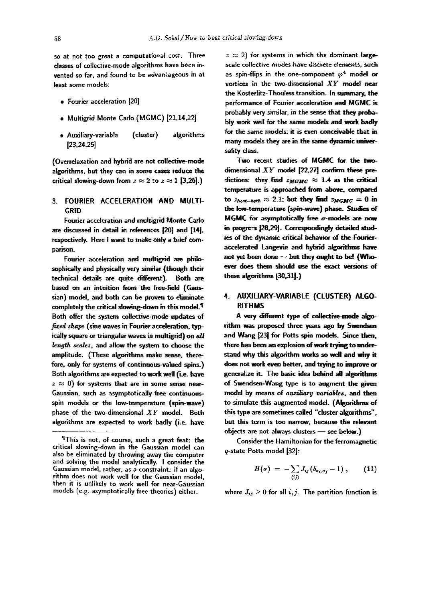so at not too great a computational cost. Three classes of collective-mode algorithms have been invented so far, and found to be advantageous in at least some models:

- Fourier acceleration [20]
- Multigrid Monte Carlo (MGMC) [21,14,22]
- Auxiliary-variab!e (cluster) algorithms 123,24,25]

(Overrelaxation and hybrid are not collective-mode algorithms, but they can in some cases reduce the critical slowing-down from  $z \approx 2$  to  $z \approx 1$  [3,26].)

3. FOURIER ACCELERATION AND MULTI-GRID

Fourier acceleration and multigrid Monte Carlo are discussed in detail in references [20] and [14]. respectively. Here I want to make only a brief comparison.

Fourier acceleration and multigrid are philosophically and physically very similar (though their technical details are quite different). Both are based on an intuition from the free-field (Gaussian) model, and both can be proven to eliminate completely the critical slowing-down in this model.<sup>1</sup> Both offer the system collective-mode updates of *fixed shape* (sine waves in Fourier acceleration, typically square or triangular waves in multigrid) on all *lengfh scales,* and allow the system to choose the amplitude. (These algorithms make sense, therefore, only for systems of continuous-valued spins.) Both algorithms are expected to work well (i.e. have  $z \approx 0$ ) for systems that are in some sense near-Gaussian, such as asymptotically free continuousspin models or the low-temperature (spin-wave) phase of the two-dimensional *XY* model. Both algorithms are expected to work badly (i.e. have

 $z \approx 2$ ) for systems in which the dominant largescale collective modes have discrete elements, such as spin-flips in the one-component  $\varphi^4$  model or vortices in the two-dimens;onal *XY modd near*  the Kosteditz-Thouless transition. In summary, the performance of Fourier acceleration and MGMC is probably very similar, in the sense that they probably work well for the same models and work badly for the same models; it is even conceivable that in many models they are in the same dynamic universality class.

Two recent studies of MGMC for the  $dimensional XY model [22,27] confirm these pre$ *dictions:* they find  $z_{MGMC} \approx 1.4$  as the critical temperature is approached from above, compared to  $z_{heat-bath} \approx 2.1$ ; but they find  $z_{MGMC} = 0$  in the low-temperature (spin-wave) phase. Studies of MGMC for asymptotically free  $\sigma$ -models are now in progress [28,29]. Correspondingly detailed studies of the dynamic critical behavior of the Fourieraccelerated Langevin and hybrid algorithms have not yet been done -- but they ought to be! (Whoever does them should use the exact versions of these algorithms (30,31).)

# 4. AUXIUARY-VARIABLE (CLUSTER) ALGO-RITHMS

**A** vep/different type of collective-mode **algorithm** was proposed three years ago by Swendsen and Wang [23] for Potts spin models. Since then, there has been an explosion of work trying to understand why this algorithm works so well and why it does not work even better, and trying to improve or generalize it. The basic idea behind all algorithms of Swendsen-Wang type is to augment the given model by means of *auxiliary variables*, and then to simulate this augmented model. (Algorithms of this type are sometimes called "cluster algorithms", but this term is too narrow, because the relevant objects are not always clusters - see below.)

Consider the Hamiltonian for the ferromagnetic q-state Potts model [32]:

$$
H(\sigma) = -\sum_{\langle ij \rangle} J_{ij} (\delta_{\sigma_i, \sigma_j} - 1) , \qquad (11)
$$

where  $J_{ij} \geq 0$  for all  $i, j$ . The partition function is

<sup>¶</sup>This is not, of course, such a great feat: the critical slowing-down in the Gaussian model can also be eliminated by throwing away the computer and solving the model analytically. I consider the Gaussian model, rather, as a constraint: if an algorithm does not work well for the Gaussian model, then it is unlikely to work well for near-Gaussian models (e.g. asymptotically free theories) either.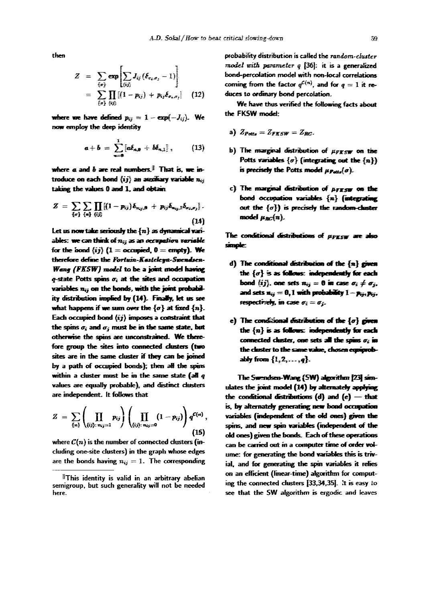then

$$
Z = \sum_{\{\sigma\}} \exp \left[\sum_{\{ij\}} J_{ij} (\delta_{\sigma_i, \sigma_i} - 1)\right]
$$
  
= 
$$
\sum_{\{\sigma\}} \prod_{\{ij\}} [(1 - p_{ij}) + p_{ij} \delta_{\sigma_i, \sigma_j}]
$$
 (12)

where we have defined  $p_{ij} = 1 - \exp(-J_{ij})$ . We now employ the deep identity

$$
a+b = \sum_{n=0}^{1} \left[ a \delta_{n,0} + b \delta_{n,1} \right], \qquad (13)
$$

where  $a$  and  $b$  are real numbers.<sup>8</sup> That is, we introduce on each bond  $\langle ij \rangle$  an auxiliary variable  $n_{ii}$ taking the values 0 and 1, and obtain

$$
Z = \sum_{\{\sigma\}} \sum_{\{\sigma\}} \prod_{\{i\}} [(1-p_{ij}) \delta_{n_{ij},\sigma} + p_{ij} \delta_{n_{ij},1} \delta_{\sigma_i,\sigma_j}].
$$
\n(14)

Let us now take seriously the  $\{n\}$  as dynamical variables: we can think of  $n<sub>ii</sub>$  as an occupation variable for the bond  $\langle ij \rangle$   $(1 =$  occupied,  $0 =$  empty). We therefore define the Fortuin-Kasteleyn-Swendsen-Wang (FKSW) model to be a joint model having  $q$ -state Potts spins  $\sigma_i$  at the sites and occupation variables  $n_{ij}$  on the bonds, with the joint probability distribution implied by (14). Finally, let us see what happens if we sum over the  $\{\sigma\}$  at fixed  $\{n\}$ . Each occupied bond  $\langle ij \rangle$  imposes a constraint that the spins  $\sigma_i$  and  $\sigma_j$  must be in the same state, but otherwise the spins are unconstrained. We therefore group the sites into connected clusters (two sites are in the same cluster if they can be joined by a path of occupied bonds); then all the spirs within a cluster must be in the same state (all  $q$ values are equally probable), and distinct clusters are independent. It follows that

$$
Z = \sum_{\{n\}} \left( \prod_{(ij): n_{ij}=1} p_{ij} \right) \left( \prod_{(ij): n_{ij}=0} (1-p_{ij}) \right) q^{\mathcal{C}(n)}, \tag{15}
$$

where  $C(n)$  is the number of connected clusters (including one-site clusters) in the graph whose edges are the bonds having  $n_{ij} = 1$ . The corresponding probability distribution is called the random-cluster model with parameter  $q$  [36]: it is a generalized bond-percolation model with non-local correlations coming from the factor  $q^{\mathcal{L}(n)}$ , and for  $q = 1$  it reduces to ordinary bond percolation.

We have thus verified the following facts about the FKSW model:

a) 
$$
Z_{P
$$

- b) The marginal distribution of  $\mu_{F\to S\overline W}$  on the Potts variables  $\{\sigma\}$  (integrating out the  $\{n\}\}$ ) is precisely the Potts model  $\mu_{Pock}(a)$ .
- c) The marginal distribution of  $\mu_{\text{FT-SDF}}$  on the bond occupation variables  $\{n\}$  (integrating out the  $\{\sigma\}$ ) is precisely the random-cluster model  $\mu_{BC}(n)$ .

The conditional distributions of *upggy* are also simple:

- d) The conditional distribution of the  $\{n\}$  given the  $\{\sigma\}$  is as follows: independently for each bond  $\langle ij \rangle$ , one sets  $n_{ii} = 0$  in case  $\sigma_i \neq \sigma_{ii}$ . and sets  $u_{ii} = 0, 1$  with probability  $1 - p_{ij}, p_{ij}$ , respectively, in case  $\sigma_i = \sigma_i$ .
- e) The conditional distribution of the  $\{\sigma\}$  given the  $\{n\}$  is as follows: independently for each connected cluster, one sets all the spins  $\sigma_i$  in the cluster to the same value, chosen equiprobably from  $\{1, 2, ..., q\}$ .

The Swendsen-Wang (SW) algorithm [23] simulates the joint model (14) by alternately applying the conditional distributions  $(d)$  and  $(e)$  - that is, by alternately generating new bond occupation variables (independent of the old ones) given the spins, and new spin variables (independent of the old ones) given the bonds. Each of these operations can be carried out in a computer time of order volume: for generating the bond variables this is trivial, and for generating the spin variables it relies on an efficient (linear-time) algorithm for computing the connected clusters [33,34,35]. It is easy to see that the SW algorithm is ergodic and leaves

This identity is valid in an arbitrary abelian semigroup, but such generality will not be needed here.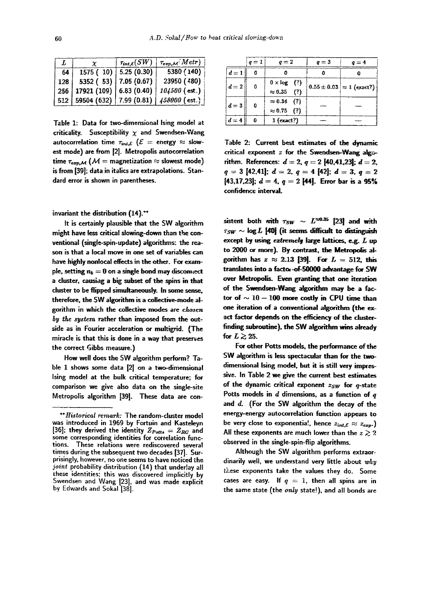|     |                               | $\tau_{int,\mathcal{E}}(SW)$ | $\tau_{exp,\mathcal{M}}$ <sup>(</sup> $Metr$ )    |
|-----|-------------------------------|------------------------------|---------------------------------------------------|
| 64  |                               | 1575 (10)   5.25 (0.30)      | 5380 (140)                                        |
| 128 |                               | 5352 (53)   7.05 (0.67)      | 23950 (480)                                       |
|     | $256$ 17921 (109) 6.83 (0.40) |                              | $104500$ (est.)                                   |
|     |                               |                              | 512   59504 (632)   7.99 (0.81)   $458000$ (est.) |

Table 1: Data for two-dimensional Ising model at criticality. Susceptibility  $\chi$  and Swendsen-Wang autocorrelation time  $\tau_{int,\mathcal{E}}$  ( $\mathcal{E}$  = energy  $\approx$  slowest mode) are from 12]. Metropolis autocorrelation time  $\tau_{\text{exp,M}}$  ( $M =$  magnetization  $\approx$  slowest mode) is from [39]; data in italics are extrapolations. Standard error is shown in parentheses.

invariant the distribution (14).\*\*

It is certainly plausible that the SW algorithm might have less critical slowing-down than the conventional (singl~spin-update) algorithms: the reason is that a local move in one set of variables can have highly noniocal effects in the other. For example, setting  $n_b = 0$  on a single bond may discoment a cluster, causiag a big subset of the spins in that duster to be flipped simultaneously. In some sense, therefore, the SW algorithm is a collective-mode algorithm in which the collective modes are chosen *by fJte spstem* rather than imposed from the outside as in Fourier acceleration or multigrid. (The miracle is that this is done in a way that preserves the correct Gibbs measure.)

How well does the SW algorithm perform? Table 1 shows some data [2] on a two-dimensional Ising model at the bulk critical temperature; for comparison we give also data on the single-site Metropolis algorithm [39]. These data are con-

|         | $q=1$    | $q=2$                                     | $q=3$ | $q=4$                                          |
|---------|----------|-------------------------------------------|-------|------------------------------------------------|
| $d=1$   |          |                                           |       |                                                |
| $d=2$   | $\Omega$ |                                           |       | $\vert 0.55 \pm 0.03 \vert \approx 1$ (exact?) |
|         |          | $0 \times \log$ (?)<br>$\approx 0.35$ (?) |       |                                                |
| $d = 3$ | 0        | $\approx 0.34$ (?)                        |       |                                                |
|         |          | $\approx 0.75$ (?)                        |       |                                                |
| $d=4$   | Û        | $1$ (exact?)                              |       |                                                |

Table 2: Current best estimates of the dynamic critical exponent  $z$  for the Swendsen-Wang algorithm. References:  $d = 2, q = 2 ~140,41,23$ ;  $d = 2$ ,  $q = 3$  [42,41];  $d = 2$ ,  $q = 4$  [42];  $d = 3$ ,  $q = 2$ [43,17,23];  $d = 4$ ,  $q = 2$  [44]. Error bar is a 95% confidence interval.

sistent both with  $\tau_{SW} \sim L^{\approx 0.35}$  [23] and with  $\tau_{SW} \sim \log L$  [40] (it seems difficult to distinguish except by using  $ext{ent}$  large lattices,  $e.g. L$  up to 2000 or more). By contrast, the Metropolis algorithm has  $z \approx 2.13$  [39]. For  $L = 512$ , this translates into a factor-of-50000 advantage for SW over Metropolis. Even granting that one iteration of the Swendsen-Wang algorithm may be a factor of  $\sim$  10 -- 100 more costly in CPU time than one iteration of a conventional algorithm (the exact factor depends on the efficiency of the dusterfinding subroutine), the SW algorithm wins already for  $L \gtrsim 25$ .

For other Ports models, the performance of the SW algorithm is less spectacular than for the twodimensional Ising model, but it is still very impressive. In Table 2 we give the current best estimates of the dynamic critical exponent  $z_{SW}$  for  $q$ -state Potts models in  $d$  dimensions, as a function of  $q$ and d. (For the SW algorithm the decay of the energy-energy autocorrelation function appears to be very close to exponentia!, hence  $z_{int,\mathcal{E}} \approx z_{exp}$ .) All these exponents are much lower than the  $z \gtrsim 2$ observed in the single-spin-flip algorithms.

Although the SW algorithm performs extraordinarily well, we understand very little about why these exponents take the values they do. Some cases are easy. If  $q = 1$ , then all spins are in the same state (the *only* state!), and all bonds are

*<sup>\*\*</sup>Historical remark:* The random-cluster model was introduced in 1969 by Fortuin and Kasteleyn [36]; they derived the identity  $Z_{Potts} = Z_{RC}$  and some corresponding identities for correlation func-These relations were rediscovered several times during the subsequent two decades [37]. Surprisingly, however, no one seems to have noticed the joint probability distribution (14) that underlay all these identities; this was discovered implicitly by Swendsen and Wang [23], and was made explicit by Fdwards and Sokal [38].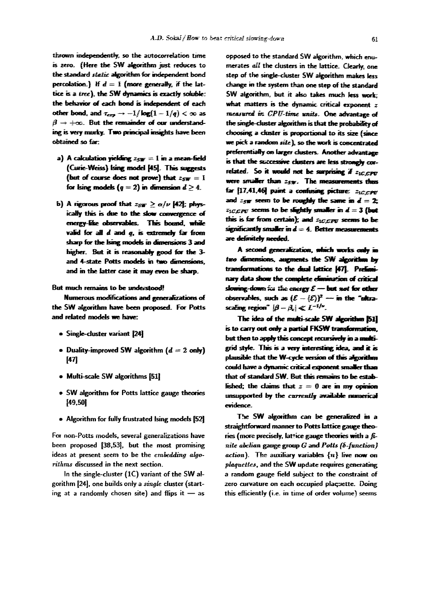61

thrown independently, so the autocorrelation time is zero. (Here the SW algorithm just reduces to the standard static algorithm for independent bond percolation.) If  $d = 1$  (more generally, if the lattice is a tree), the SW dynamics is exactly soluble: the behavior of each bond is independent of each other bond, and  $\tau_{\text{crs}} \to -1/\log(1 - 1/q) < \infty$  as  $\beta \rightarrow +\infty$ . But the remainder of our understanding is very murky. Two principal insights have been obtained so far.

- a) A calculation vielding  $z_{sw} = 1$  in a mean-field (Curie-Weiss) Ising model [45]. This suggests (but of course does not prove) that  $z_{sw} = 1$ for Ising models ( $q = 2$ ) in dimension  $d \geq 4$ .
- b) A rigorous proof that  $z_{SW} \ge \alpha/\nu$  [42]; physically this is due to the slow convergence of energy-like observables. This bound, while valid for all  $d$  and  $q$ , is extremely far from sharp for the Ising models in dimensions 3 and higher. But it is reasonably good for the 3and 4-state Potts models in two dimensions, and in the latter case it may even be sharp.

But much remains to be understood!

Numerous modifications and generalizations of the SW algorithm have been proposed. For Potts and related models we have:

- Single-cluster variant [24]
- Duality-improved SW algorithm  $(d = 2 \text{ only})$  $[47]$
- Multi-scale SW algorithms [51]
- SW algorithm for Potts lattice gauge theories [49,50]
- Algorithm for fully frustrated Ising models [52]

For non-Potts models, several generalizations have been proposed [38,53], but the most promising ideas at present seem to be the embedding algorithms discussed in the next section.

In the single-cluster (1C) variant of the SW algorithm [24], one builds only a single cluster (starting at a randomly chosen site) and flips it  $-$  as

opposed to the standard SW algorithm, which enumerates all the clusters in the lattice. Clearly, one step of the single-cluster SW algorithm makes less change in the system than one step of the standard SW algorithm, but it also takes much less work: what matters is the dynamic critical exponent  $z$ measured in CPU-time units. One advantage of the single-cluster algorithm is that the probability of choosing a cluster is proportional to its size (since we pick a random site), so the work is concentrated preferentially on larger clusters. Another advantage is that the successive clusters are less strongly correlated. So it would not be surprising if  $z_{1C,CPU}$ were smaller than zsw. The measurements thus far [17,41,46] paint a confusing picture: ziccere and  $z_{SW}$  seem to be roughly the same in  $d = 2$ :  $z_{1CCPU}$  seems to be slightly smaller in  $d = 3$  (but this is far from certain); and  $z_{\text{tCCPE}}$  seems to be significantly smaller in  $d = 4$ . Better measurements are definitely needed.

A second generalization, which works only in two dimensions, augments the SW algorithm by transformations to the dual lattice [47]. Preliminary data show the complete elimination of critical slowing-down for the energy  $\mathcal{E}$  - but not for other observables, such as  $(\mathcal{E} - \langle \mathcal{E} \rangle)^2$  -- in the "ultrascaling region"  $|\beta - \beta_c| \ll L^{-1/\nu}$ .

The idea of the multi-scale SW algorithm [51] is to carry out only a partial FKSW transformation. but then to apply this concept recursively in a multigrid style. This is a very interesting idea, and it is plausible that the W-cycle version of this algorithm could have a dynamic critical exponent smaller than that of standard SW. But this remains to be established; the claims that  $z = 0$  are in my opinion unsupported by the currently available numerical evidence.

The SW algorithm can be generalized in a straightforward manner to Potts lattice gauge theories (more precisely, lattice gauge theories with a finite abelian gauge group  $G$  and  $Potts$  ( $\delta$ -function) action). The auxiliary variables  $\{n\}$  live now on plaquettes, and the SW update requires generating a random gauge field subject to the constraint of zero curvature on each occupied placuette. Doing this efficiently (i.e. in time of order volume) seems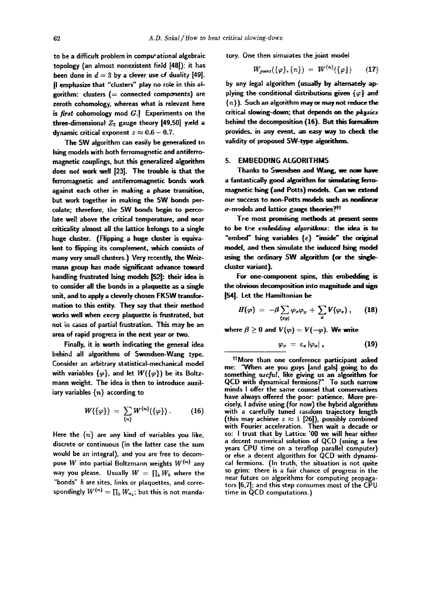to be a difficult problem in computational algebraic topology (an almost nonexistent fieJd [48]); it has been done in  $d = 3$  by a clever use of duality [49]. [I emphasize that "clusters" play no role in this algorithm: clusters  $(=$  connected components) are zeroth cohomology, whereas what is relevant here is *first* cohomology mod  $G$ .] Experiments on the three-dimensional  $Z_2$  gauge theory [49,50] yeld a dynamic critical exponent  $z \approx 0.6 - 0.7$ .

The SW algorithm can easily he generalized to ising models with both ferromagnetic and antiferromagnetic couplings, but this generalized algorithm does not work well |23]. The trouble is that the ferromagnetic and antiferromagnetic bonds work against each other in making a phase transition, but work together in making the SW bonds percolate; therefore, the SW bonds begin to percolate well above the critical temperature, and near criticality almost all the lattice belongs to a single huge duster. (Flipping a huge duster is equivalent to flipping its complement, which consists of *many* very small dusters.) Very recently, the Weizmann group has made significant advance toward handling frustrated lsing models [52]: their idea is to consider all the bonds in a plaquette as a single unit, and to apply a cleverly chosen FKSW transformation to this entity. They say that their method works well when every plaquette is frustrated, but not in cases of partial frustration. This may be an area of rapid progress in the next year or two.

Finally, it is worth indicating the general idea behind all algorithms of Swendsen-Wang type. Consider an arbitrary statistical-mechanical model with variables  $\{\varphi\}$ , and let  $W(\{\varphi\})$  be its Boltzmann weight. The idea is then to introduce auxiliary variables  $\{n\}$  according to

$$
W({\varphi}) = \sum_{\{n\}} W^{\{n\}}({\varphi}). \qquad (16)
$$

Here the  $\{n\}$  are any kind of variables you like, discrete or continuous (in the latter case the sum would he an integral), and you are free to decompose W into partial Boltzmann weights  $W^{\{n\}}$  any way you please. Usually  $W = \prod_b W_b$  where the "bonds"  $b$  are sites, links or plaquettes, and correspondingly  $W^{\{n\}} = \prod_b W_{n_b}$ ; but this is not mandatory. One then simulates the joint model

$$
W_{joint}(\{\varphi\},\{n\}) = W^{\{n\}}(\{\varphi\}) \qquad (17)
$$

by any legal algorithm (usually by alternately applying the conditional distributions given  $\{\varphi\}$  and  ${n}$ ). Such an algorithm may or may not reduce the critical slowing-down; that depends on the physics behind the decomposition  $(16)$ . But this formalism provides, in any event, an easy way to check the validity of proposed SW-type algorithms.

#### 5. EMBEDDING ALGORITHMS

Thanks to Swendsen and Wang, we **now** have a fantastically good algorithm for simulating ferromagnetic Ising (and Potts) models. Can we extend our success to non-Potts models such as nonlinear  $\sigma$ -models and lattice gauge theories?<sup>11</sup>

Tre most promising methods at present seem to be the embedding algorithms: the idea is to "embed" Ising variables  $\{\varepsilon\}$  "inside" the original model, and then simulate the induced Ising model using the ordinary SW algorithm (or the singlecluster variant).

For one-component spins, this embedding is the obvious decomposition into magnitude and sign [54]. Let the Hamiltonian be

$$
H(\varphi) = -\beta \sum_{\langle xy \rangle} \varphi_x \varphi_y + \sum_x V(\varphi_x), \qquad (18)
$$

where  $\beta \geq 0$  and  $V(\varphi) = V(-\varphi)$ . We write

$$
\varphi_z = \varepsilon_x |\varphi_x|, \qquad (19)
$$

ltMore than one conference participant asked me: "When are you guys [and gals] going to do something *useful*, like giving us an algorithm for<br>QCD with dynamical fermions?" To such narrow minds I offer the same counsel that conservatives have always offered the poor: patience. More precisely, I advise using (for now) the hybrid algorithm with a carefully tuned random trajectory length (this may achieve  $z \approx 1$  [26]), possibly combined with Fourier acceleration. Then wait a decade or so: I trust that by Lattice '00 we will hear either a decent numerical solution of QCD (using a few years CPU time on a teraflop parallel computer) or else a decent algorithm for QCD with dynamical fermions. (In truth, the situation is not quite so grim: there is a fair chance of progress in the near future on algorithms for computing propagators [6,7]; and this step consumes most of the CPU time in QCD computations.)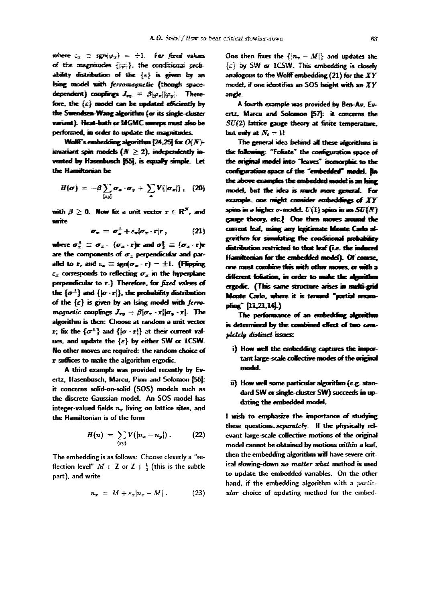where  $\varepsilon_x \equiv \text{sgn}(\varphi_x) = \pm 1$ . For fixed values of the magnitudes  $\{| \varphi | \}$ , the conditional probability distribution of the  $\{\varepsilon\}$  is given by an Ising model with ferromagnetic (though spacedependent) couplings  $J_{m} \equiv \beta |\varphi_{\pi}| |\varphi_{n}|$ . Therefore, the  $\{\varepsilon\}$  model can be updated efficiently by the Swendsen-Wang algorithm (or its single-cluster variant). Heat-bath or MGMC sureeps must also be performed, in order to update the magnitudes.

Wolff's embedding algorithm [24,25] for  $O(N)$ invariant spin models  $(N \geq 2)$ , independently invented by Hasenbusch [55], is equally simple. Let the Hamiltonian be

$$
H(\boldsymbol{\sigma}) = -\beta \sum_{\langle xy \rangle} \boldsymbol{\sigma}_x \cdot \boldsymbol{\sigma}_y + \sum_z V(|\boldsymbol{\sigma}_z|), \quad (20)
$$

with  $\beta \geq 0$ . Now fix a unit vector  $\mathbf{r} \in \mathrm{R}^N$ , and write

$$
\sigma_x = \sigma_x^{\perp} + \varepsilon_x \vert \sigma_x \cdot \mathbf{r} \vert \mathbf{r} \,, \tag{21}
$$

where  $\sigma_x^{\perp} \equiv \sigma_x - (\sigma_x \cdot \mathbf{r})\mathbf{r}$  and  $\sigma_x^{\parallel} \equiv (\sigma_x \cdot \mathbf{r})\mathbf{r}$ are the components of  $\sigma_x$  perpendicular and parallel to r, and  $\varepsilon_x \equiv \text{sgn}(\sigma_x \cdot \mathbf{r}) = \pm 1$ . (Flipping  $\varepsilon_x$  corresponds to reflecting  $\sigma_x$  in the hyperplane perpendicular to r.) Therefore, for fixed values of the  $\{\sigma^{\perp}\}\$  and  $\{|\sigma \cdot r|\}$ , the probability distribution of the  $\{\varepsilon\}$  is given by an ising model with ferromagnetic couplings  $J_{xx} \equiv \beta |\sigma_x \cdot \mathbf{r}| |\sigma_y \cdot \mathbf{r}|$ . The algorithm is then: Choose at random a unit vector **r**; fix the  $\{\sigma^{\pm}\}$  and  $\{|\sigma \cdot \mathbf{r}|\}$  at their current values, and update the  $\{\varepsilon\}$  by either SW or 1CSW. No other moves are required: the random choice of r suffices to make the algorithm ergodic.

A third example was provided recently by Evertz, Hasenbusch, Marcu, Pinn and Solomon [56]: it concerns solid-on-solid (SOS) models such as the discrete Gaussian model. An SOS model has integer-valued fields  $n_x$  living on lattice sites, and the Hamiltonian is of the form

$$
H(n) = \sum_{\langle xy \rangle} V(|n_x - n_y|) \,. \tag{22}
$$

The embedding is as follows: Choose cleverly a "reflection level"  $M \in \mathbb{Z}$  or  $\mathbb{Z} + \frac{1}{2}$  (this is the subtle part), and write

$$
n_x = M + \varepsilon_x |n_x - M| \ . \qquad \qquad (23)
$$

One then fixes the  $\{|n_+ - M|\}$  and undates the  $\{\varepsilon\}$  by SW or 1CSW. This embedding is closely analogous to the Wolff embedding  $(21)$  for the  $XY$ model, if one identifies an SOS height with an  $XY$ angle.

A fourth example was provided by Ben-Av. Evertz, Marcu and Solomon [57]: it concerns the  $SU(2)$  lattice gauge theory at finite temperature, but only at  $N_t = 1!$ 

The general idea behind all these algorithms is the following: "Foliate" the configuration space of the original model into "leaves" isomorphic to the configuration space of the "embedded" model. Jin the above examples the embedded model is an Ising model, but the idea is much more general. For example, one might consider embeddings of  $XY$ spins in a higher  $\sigma$ -model,  $U(1)$  spins in an  $SU(N)$ gauge theory, etc.] One then moves around the corrent leaf, using any legitimate lifonte Carlo algorithm for simulating the conditional probability distribution restricted to that leaf (i.e. the induced Hamiltonian for the embedded model). Of course, one must combine this with other moves, or with a different foliation, in order to make the algorithm ergodic. (This same structure arises in multi-grid Monte Carlo, where it is termed "partial resampling" [11,21,14].)

The performance of an embedding algorithm is determined by the combined effect of two completely distinct issues:

- i) How well the embedding captures the important large-scale collective modes of the original model.
- ii) How well some particular algorithm (e.g. standard SW or single-cluster SW) succeeds in updating the embedded model.

I wish to emphasize the importance of studying these questions. separately. If the physically relevant large-scale collective motions of the original model cannot be obtained by motions within a leaf. then the embedding algorithm will have severe critical slowing-down no matter what method is used to update the embedded variables. On the other hand, if the embedding algorithm with a particular choice of updating method for the embed-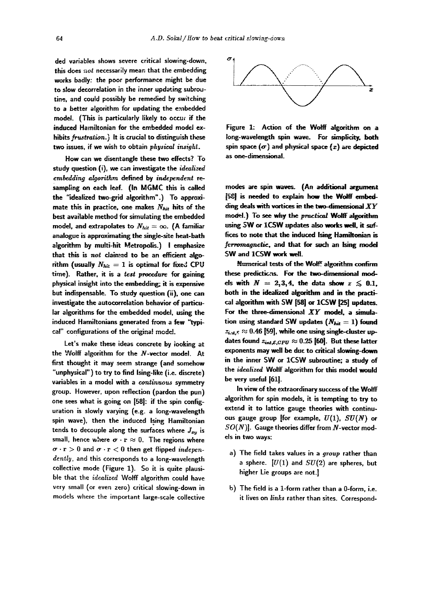ded variables shows severe critical slowing-down, this does  $not$  necessarily mean that the embedding works badly: the poor performance might be due to slow decorrelation in the inner updating subroutine, and could possibly be remedied *by* switching to a better algorithm for updating the embedded model. (This is particularly likely to occuc if the induced Hamiltonian for the embedded model exhibits frustration.) It is crucial to distinguish these two issues, if we wish to obtain *physical insight*.

How can we disentangle these two effects? To study question (i), we can investigate the *idealized embedding algorithm defined by independent re*sampling on each leaf. (In MGMC this is called the "idealized two-grid algorithm".) To approximate this in practice, one makes  $N_{hit}$  hits of the best available method for simulating the embedded model, and extrapolates to  $N_{hit} = \infty$ . (A familiar analogue is approximating the single-site heat-bath algorithm by multi-hit Metropolis.) I emphasize that this is  $not$  claimed to be an efficient algorithm (usually  $N_{hit} = 1$  is optimal for fixed CPU time). Rather, it is a test procedure for gaining physical insight into the embedding; it is expensive but indispensable. To study question (ii), one can investigate the autocorrelation behavior of particular algorithms for the embedded model, using the induced Hamiltonians generated from a few "typical" configurations of the original model.

Let's make these ideas concrete by looking at the Wolff algorithm for the N-vector model. At first thought it may seem strange (and somehow "unphysical") to try to find Ising-like (i.e. discrete) variables in a model with a *continuous* symmetry group. However, upon reflection (pardon the pun) one sees what is going on [58]: if the spin configuration is slowly varying **(e.g. a** long-wavelength spin wave), then the induced Ising Hamiltonian tends to decouple along the surfaces where  $J_{xy}$  is small, hence where  $\sigma \cdot \mathbf{r} \approx 0$ . The regions where  $\sigma \cdot r > 0$  and  $\sigma \cdot r < 0$  then get flipped *indepen*dently, and this corresponds to a long-wavelength collective mode (Figure 1). So it is quite plausible that the *idealized* Wolff algorithm could have very small (or even zero) critical slowing-down in models where the important large-scale collective



Figure 1: Action of the Wolff algorithm on a long-wavelength spin wave. For simplicity, both spin space  $(\sigma)$  and physical space  $(x)$  are depicted as one-dimensional.

modes are spin waves. (An additional argument [58] is needed to explain how the Wolff embedding deals with vortices in the two-dimensional *XY*  model.) To see why the practical Wolff algorithm using SW or 1CSW updates also works well, it suffices to note that the induced Ising Hamiltonian is ferromagnetic, and that for such an Ising model SW and 1CSW work well.

Numerical tests of the Wolff algorithm confirm these predictions. For the two-dimensional models with  $N = 2,3,4$ , the data show  $z \le 0.1$ , both in the idealized algorithm and in the practical algorithm with SW [58] or 1CSW [25] updates. For the three-dimensional *XY* model, a simulation using standard SW updates  $(N_{hit} = 1)$  found  $z_{i, u, \varepsilon} \approx 0.46$  [59], while one using single-cluster updates found  $z_{int,\mathcal{E},CPU} \approx 0.25$  [60]. But these latter exponents may well be due to critical slowing-down in the inner SW or 1CSW subroutine; a study of the *idealized* Wolff algorithm for this model would be very useful [61].

In view of the extraordinary success of the Wolff algorithm for spin models, it is tempting to try to extend it to lattice gauge theories with continuous gauge group [for example,  $U(1)$ ,  $SU(N)$  or  $SO(N)$ ]. Gauge theories differ from N-vector models in two ways:

- a) The field takes values in a *group* rather than a sphere.  $[U(1)$  and  $SU(2)$  are spheres, but higher Lie groups are not.]
- b) The field is a 1-form rather than a 0-form, i.e. it lives on *links* rather than sites. Correspond-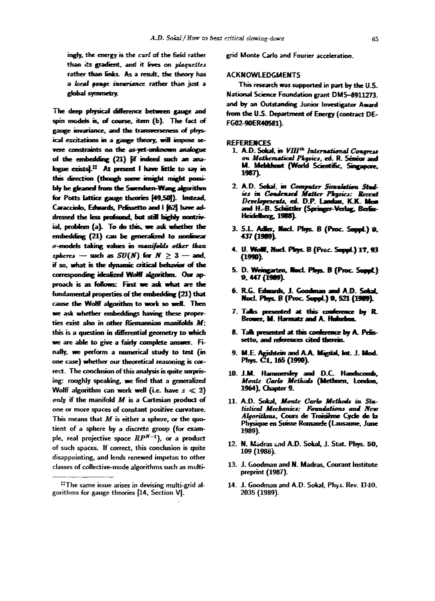ingly, the energy is the curl of the field rather than its gradient, and it lives on plaguettes rather than links. As a result, the theory has a local cause invariance rather than just a global symmetry.

The deep physical difference between gauge and spin models is, of course, item (b). The fact of gauge invariance, and the transverseness of physical excitations in a gauge theory, will impose severe constraints on the as-yet-unknown analogue of the embedding (21) [if indeed such an analogue exists].<sup>11</sup> At present I have little to say in this direction (though some insight might possibly be gleaned from the Swendsen-Wang algorithm for Potts lattice gauge theories [49,50]). Instead, Caracciolo, Edwards, Pelissetto and I [62] have addressed the less profound, but still highly nontrivial, problem (a). To do this, we ask whether the embedding (21) can be generalized to nonlinear o-models taking values in manifolds other than spheres - such as  $SU(N)$  for  $N \geq 3$  - and, if so, what is the dynamic critical behavior of the corresponding idealized Wolff algorithm. Our approach is as follows: First we ask what are the fundamental properties of the embedding (21) that cause the Wolff algorithm to work so well. Then we ask whether embeddings having these properties exist also in other Riemannian manifolds M; this is a question in differential geometry to which we are able to give a fairly complete answer. Finally, we perform a numerical study to test (in one case) whether our theoretical reasoning is correct. The conclusion of this analysis is quite surprising: roughly speaking, we find that a generalized Wolff algorithm can work well (i.e. have  $z \ll 2$ ) only if the manifold M is a Cartesian product of one or more spaces of constant positive curvature. This means that  $M$  is either a sphere, or the quotient of a sphere by a discrete group (for example, real projective space  $RP^{N-1}$ ), or a product of such spaces. If correct, this conclusion is quite disappointing, and lends renewed impetus to other classes of collective-mode algorithms such as multigrid Monte Carlo and Fourier acceleration.

### **ACKNOWLEDGMENTS**

This research was supported in part by the U.S. National Science Foundation grant DMS-8911273. and by an Outstanding Junior Investigator Award from the U.S. Department of Energy (contract DE-FG02-90ER40581).

### **REFERENCES**

- 1. A.D. Sokal. in VIII<sup>th</sup> International Congress on Mathematical Physics, ed. R. Sénéor and M. Mebkhout (World Scientific, Singapore, 1987).
- 2. A.D. Sokal, in Computer Simulation Studies in Condensed Matter Physics: Recent Developments, ed. D.P. Landau, K.K. Mon<br>and H.-B. Schüttler (Springer-Verlag, Berlin-Heidelberg, 1988).
- 3. S.L. Adler, Nacl. Phys. B (Proc. Suppl.) 9, 437 (1989).
- 4. U. Wolff, Mucl. Phys. B (Proc. Suppl.) 17, 93  $(1990)$
- 5. D. Weingarten, Nucl. Phys. B (Proc. Suppl.) 9, 447 (1989).
- 6. R.G. Edwards, J. Goodman and A.D. Sokal. Nucl. Phys. B (Proc. Suppl.) 9, 521 (1989).
- 7. Talks presented at this conference by R. Brower, M. Harmatz and A. Huisebos.
- 8. Talk presented at this conference by A. Pelissetto, and references cited therein.
- 9. M.E. Agishtein and A.A. Migdal, Int. J. Mod. Phys. C1, 165 (1990).
- 10. J.M. Hammersley and D.C. Handscomb, Monte Carlo Methods (Methuen, London, 1964), Chapter 9.
- 11. A.D. Sokal, Monte Carlo Methods in Statistical Mechanics: Foundations and New Algorithms, Cours de Troisième Cycle de la Physique en Suisse Romande (Lausanne, June 1989).
- 12. N. Madras and A.D. Sokal, J. Stat. Phys. 50. 109 (1988).
- 13. J. Goodman and N. Madras, Courant Institute preprint (1987).
- 14. J. Goodman and A.D. Sokal, Phys. Rev. D40, 2035 (1989).

<sup>#</sup>The same issue arises in devising multi-grid algorithms for gauge theories [14, Section V].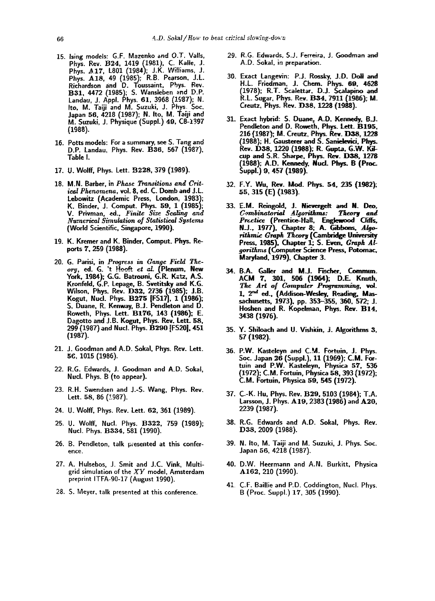- 15. Ising models: G.F. Mazenko and O.T. Valls, Phys. Rev. B24, 1419 (1981), C. Kalle, J. Phys. A.17, L801 (1984); J.K. Williams, J. Phys. B.17, Court (1985); R.B. Pearson, J.L.<br>Phys. A18, 49 (1985); R.B. Pearson, J.L.<br>Richardson and D. Toussaint, Phys. Rev.<br>B31, 4472 (1985); S. Wansleben and D.P.<br>Landau, J. Appl. Phys. 61, 3968 (1987); N.<br>Ito, M. Taiji Japan 56, 4218 (1987); N. Ito, M. Taiji and M. Suzuki, J. Physique (Suppl.) 49, C8-1397  $(1988).$
- 16. Potts models: For a summary, see S. Tang and D.P. Landau, Phys. Rev. B36, 567 (1987), Table I.
- 17. U. Wolff, Phys. Lett. B228, 379 (1989).
- 18. M.N. Barber, in Phase Transitions and Critical Phenomena, vol. 8, ed. C. Domb and J.L. Lebowitz (Academic Press, London, 1983); K. Binder, J. Comput. Phys. 59, 1 (1985); V. Privman, ed., Finite Size Scaling and Numerical Simulation of Statistical Systems (World Scientific, Singapore, 1990).
- 19. K. Kremer and K. Binder, Comput. Phys. Reports 7, 259 (1988).
- 20. G. Parisi, in Progress in Gauge Field Theory, ed. G. 't Hooft et al. (Plenum, New<br>York, 1984); G.G. Batrouni, G.R. Katz, A.S. Kronfeld, G.P. Lepage, B. Svetitsky and K.G. Wilson, Phys. Rev. D32, 2736 (1985); J.B. Kogut, Nucl. Phys. B275 [FS17], 1 (1986); S. Duane, R. Kenway, B.J. Pendleton and D. Roweth, Phys. Lett. B176, 143 (1986); E. Dagotto and J.B. Kogut, Phys. Rev. Lett. 58, 299 (1987) and Nucl. Phys. B290 [FS20], 451  $(1987).$
- 21. J. Goodman and A.D. Sokal, Phys. Rev. Lett. 56, 1015 (1986).
- 22. R.G. Edwards, J. Goodman and A.D. Sokal, Nucl. Phys. B (to appear).
- 23. R.H. Swendsen and J.-S. Wang, Phys. Rev. Lett. 58, 86 (1987).
- 24. U. Wolff, Phys. Rev. Lett. 62, 361 (1989).
- 25. U. Wolff, Nucl. Phys. B322, 759 (1989); Nucl. Phys. B334, 581 (1990).
- 26. B. Pendleton, talk presented at this conference.
- 27. A. Hulsebos, J. Smit and J.C. Vink, Multigrid simulation of the  $XY$  model, Amsterdam preprint ITFA-90-17 (August 1990).
- 28. S. Meyer, talk presented at this conference.
- 29. R.G. Edwards, S.J. Ferreira, J. Goodman and A.D. Sokal, in preparation.
- 30. Exact Langevin: P.J. Rossky, J.D. Doll and H.L. Friedman, J. Chem. Phys. 69, 4628 (1978); R.T. Scalettar, D.J. Scalapino and R.L. Sugar, Phys. Rev. B34, 7911 (1986); M. Creutz, Phys. Rev. D38, 1228 (1988).
- 31. Exact hybrid: S. Duane, A.D. Kennedy, B.J. Pendleton and D. Roweth. Phys. Lett. B195. 216 (1987); M. Creutz, Phys. Rev. D38, 1228 (1988); H. Gausterer and S. Sanielevici, Phys. Rev. D38, 1220 (1988); R. Gupta, G.W. Kilcup and S.R. Sharpe, Phys. Rev. D38, 1278 (1988); A.D. Kennedy, Nucl. Phys. B (Proc. Suppl.) 9, 457 (1989).
- 32. F.Y. Wu, Rev. Mod. Phys. 54, 235 (1982); 55, 315 (E) (1983).
- 33. E.M. Reingold, J. Nievergelt and N. Deo, Combinatorial Algorithms: Theory and<br>Prectice (Prentice-Hall, Englewood Cliffs,<br>N.J., 1977), Chapter 8; A. Gibbons, Algorithmic Graph Theory (Cambridge University Press, 1985), Chapter 1; S. Even, Graph Algorithms (Computer Science Press, Potomac, Maryland, 1979), Chapter 3.
- 34. B.A. Galler and M.J. Fischer, Commun. ACM 7, 301, 506 (1964); D.E. Knuth, The Art of Computer Programming, vol. 1, 2nd ed., (Addison-Wesley, Reading, Massachusetts, 1973), pp. 353–355, 360, 572; J. Hoshen and R. Kopelman, Phys. Rev. B14, 3438 (1976).
- 35. Y. Shiloach and U. Vishkin, J. Algorithms 3. 57 (1982).
- 36. P.W. Kasteleyn and C.M. Fortuin, J. Phys. Soc. Japan 26 (Suppl.), 11 (1969); C.M. Fortuin and P.W. Kasteleyn, Physica 57, 536 (1972); C.M. Fortuin, Physica 58, 393 (1972); C.M. Fortuin, Physica 59, 545 (1972).
- 37. C.-K. Hu, Phys. Rev. B29, 5103 (1984): T.A. Larsson, J. Phys. A19, 2383 (1986) and A20, 2239 (1987).
- 38. R.G. Edwards and A.D. Sokal, Phys. Rev. D38, 2009 (1988).
- 39. N. Ito, M. Taiji and M. Suzuki, J. Phys. Soc. Japan 56, 4218 (1987).
- 40. D.W. Heermann and A.N. Burkitt, Physica A162, 210 (1990).
- 41. C.F. Baillie and P.D. Coddington, Nucl. Phys. B (Proc. Suppl.) 17, 305 (1990).